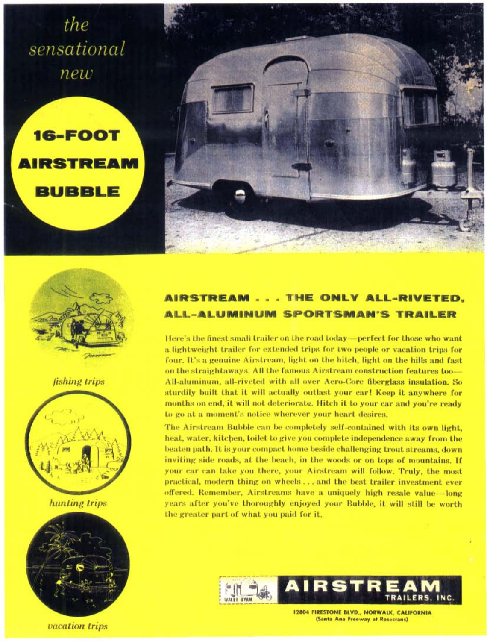the sensational new

**16-FOOT** 

**BUBBLE** 





*fishing trips* 



hunting trips



vacation trips

## AIRSTREAM . . . THE ONLY ALL-RIVETED. ALL-ALUMINUM SPORTSMAN'S TRAILER

Here's the finest small trailer on the road today—perfect for those who want a lightweight trailer for extended trips for two people or vacation trips for four. It's a genuine Airstream, light on the hitch, light on the hills and fast on the straightaways. All the famous Airstream construction features too-All-aluminum, all-riveted with all over Aero-Core fiberglass insulation. So sturdily built that it will actually outlast your car! Keep it anywhere for months on end, it will not deteriorate. Hitch it to your car and you're ready to go at a moment's notice wherever your heart desires.

The Airstream Bubble can be completely self-contained with its own light, heat, water, kitchen, toilet to give you complete independence away from the beaten path. It is your compact home beside challenging trout streams, down inviting side roads, at the beach, in the woods or on tops of mountains. If your car can take you there, your Airstream will follow. Truly, the most practical, modern thing on wheels ... and the best trailer investment ever offered. Remember, Airstreams have a uniquely high resale value—long years after you've thoroughly enjoyed your Bubble, it will still be worth the greater part of what you paid for it.



**12804 FIRESTONE BLVD., NORWALK, CALIFORNIA** (Santa Ana Freeway at Rosecrans)